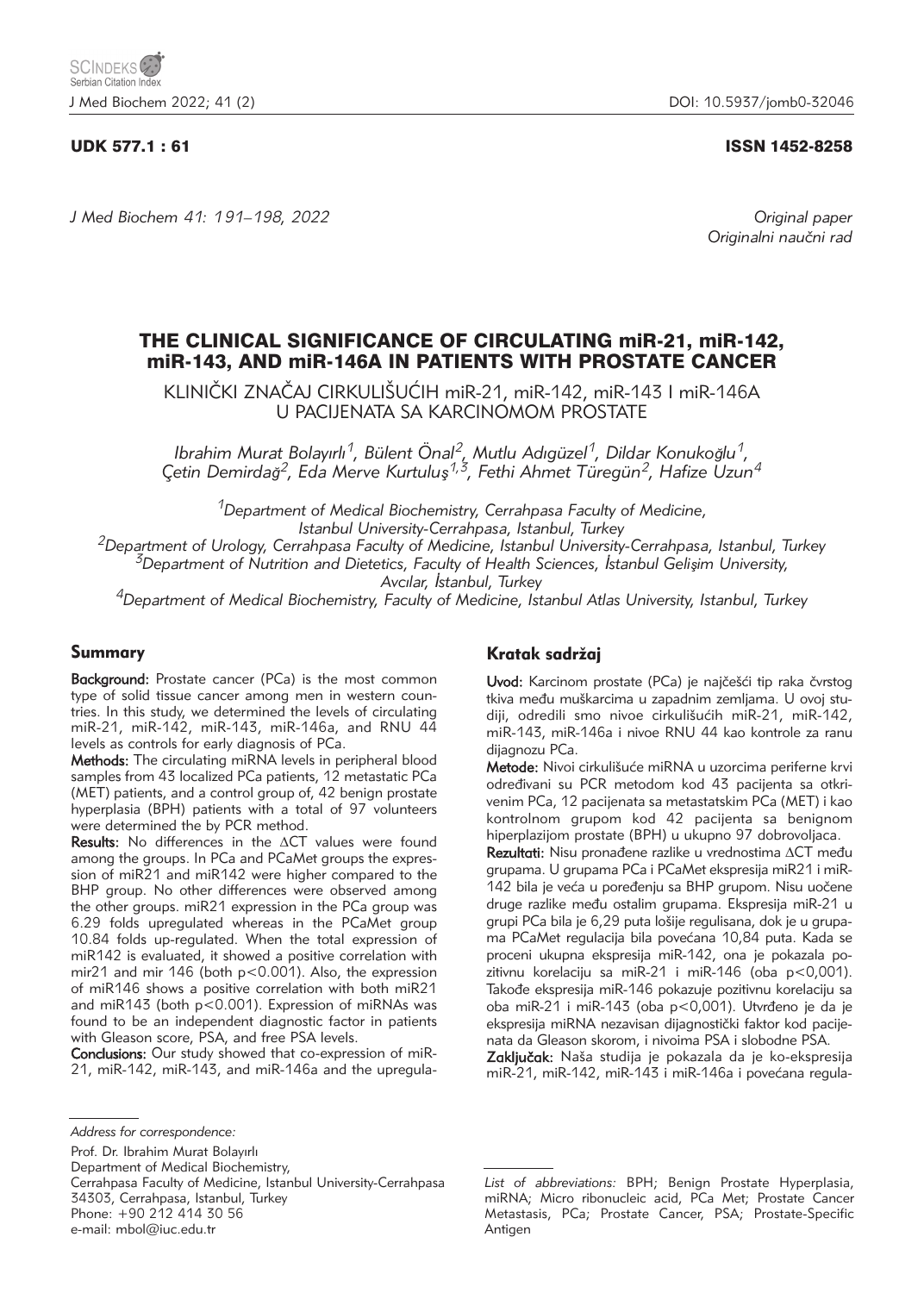# UDK 577.1 : 61 ISSN 1452-8258

*J Med Biochem 41: 191–198, 2022 Original paper*

Originalni naučni rad

# THE CLINICAL SIGNIFICANCE OF CIRCULATING miR-21, miR-142, miR-143, AND miR-146A IN PATIENTS WITH PROSTATE CANCER

KLINIČKI ZNAČAJ CIRKULIŠUĆIH miR-21, miR-142, miR-143 I miR-146A U PACIJENATA SA KARCINOMOM PROSTATE

*Ibrahim Murat Bolayırlı1, Bülent Önal2, Mutlu Adıgüzel1, Dildar Konuko*ğ*lu1, Çetin Demirda*ğ*2, Eda Merve Kurtulu*ş*1,3, Fethi Ahmet Türegün2, Hafize Uzun4*

*1Department of Medical Biochemistry, Cerrahpasa Faculty of Medicine,* 

<sup>2</sup>Department of Urology, Cerrahpasa Faculty of Medicine, Istanbul University-Cerrahpasa, Istanbul, Turkey<br><sup>3</sup>Department of Nutrition and Dietetics, Faculty of Health Sciences, Istanbul Gelisim University,

*Avcılar,* İ*stanbul, Turkey 4Department of Medical Biochemistry, Faculty of Medicine, Istanbul Atlas University, Istanbul, Turkey*

## Summary

Background: Prostate cancer (PCa) is the most common type of solid tissue cancer among men in western countries. In this study, we determined the levels of circulating miR-21, miR-142, miR-143, miR-146a, and RNU 44 levels as controls for early diagnosis of PCa.

Methods: The circulating miRNA levels in peripheral blood samples from 43 localized PCa patients, 12 metastatic PCa (MET) patients, and a control group of, 42 benign prostate hyperplasia (BPH) patients with a total of 97 volunteers were determined the by PCR method.

**Results:** No differences in the  $\Delta CT$  values were found among the groups. In PCa and PCaMet groups the expression of miR21 and miR142 were higher compared to the BHP group. No other differences were observed among the other groups. miR21 expression in the PCa group was 6.29 folds upregulated whereas in the PCaMet group 10.84 folds up-regulated. When the total expression of miR142 is evaluated, it showed a positive correlation with mir21 and mir 146 (both p<0.001). Also, the expression of miR146 shows a positive correlation with both miR21 and miR143 (both p<0.001). Expression of miRNAs was found to be an independent diagnostic factor in patients with Gleason score, PSA, and free PSA levels.

Conclusions: Our study showed that co-expression of miR-21, miR-142, miR-143, and miR-146a and the upregula-

Prof. Dr. Ibrahim Murat Bolayırlı Department of Medical Biochemistry, Cerrahpasa Faculty of Medicine, Istanbul University-Cerrahpasa 34303, Cerrahpasa, Istanbul, Turkey Phone: +90 212 414 30 56 e-mail: mbol@iuc.edu.tr

# Kratak sadržaj

Uvod: Karcinom prostate (PCa) je najčešći tip raka čvrstog tkiva među muškarcima u zapadnim zemljama. U ovoj studiji, odredili smo nivoe cirkulišućih miR-21, miR-142, miR-143, miR-146a i nivoe RNU 44 kao kontrole za ranu dijagnozu PCa.

Metode: Nivoi cirkulišuće miRNA u uzorcima periferne krvi određivani su PCR metodom kod 43 pacijenta sa otkrivenim PCa, 12 pacijenata sa metastatskim PCa (MET) i kao kontrolnom grupom kod 42 pacijenta sa benignom hiperplazijom prostate (BPH) u ukupno 97 dobrovoljaca.

Rezultati: Nisu pronađene razlike u vrednostima  $\Delta CT$  među grupama. U grupama PCa i PCaMet ekspresija miR21 i miR-142 bila je veća u poređenju sa BHP grupom. Nisu uočene druge razlike među ostalim grupama. Ekspresija miR-21 u grupi PCa bila je 6,29 puta lošije regulisana, dok je u grupama PCaMet regulacija bila povećana 10,84 puta. Kada se proceni ukupna ekspresija miR-142, ona je pokazala pozitivnu korelaciju sa miR-21 i miR-146 (oba p<0,001). Takođe ekspresija miR-146 pokazuje pozitivnu korelaciju sa oba miR-21 i miR-143 (oba p<0,001). Utvrđeno je da je ekspresija miRNA nezavisan dijagnostički faktor kod pacijenata da Gleason skorom, i nivoima PSA i slobodne PSA.

Zaključak: Naša studija je pokazala da je ko-ekspresija miR-21, miR-142, miR-143 i miR-146a i povećana regula-

*Address for correspondence:*

*List of abbreviations:* BPH; Benign Prostate Hyperplasia, miRNA; Micro ribonucleic acid, PCa Met; Prostate Cancer Metastasis, PCa; Prostate Cancer, PSA; Prostate-Specific Antigen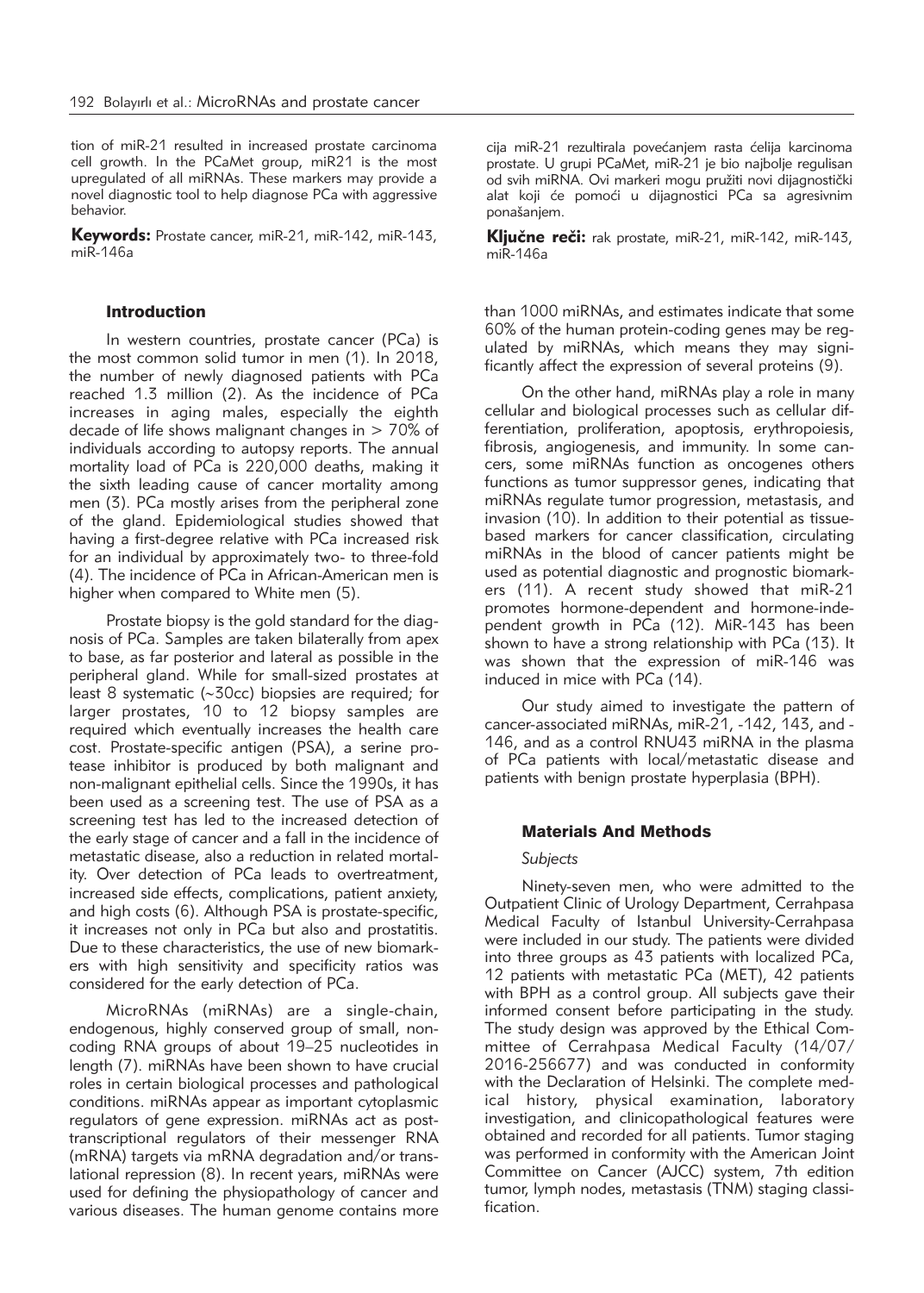tion of miR-21 resulted in increased prostate carcinoma cell growth. In the PCaMet group, miR21 is the most upregulated of all miRNAs. These markers may provide a novel diagnostic tool to help diagnose PCa with aggressive behavior.

Keywords: Prostate cancer, miR-21, miR-142, miR-143, miR-146a

## Introduction

In western countries, prostate cancer (PCa) is the most common solid tumor in men (1). In 2018, the number of newly diagnosed patients with PCa reached 1.3 million (2). As the incidence of PCa increases in aging males, especially the eighth decade of life shows malignant changes in  $> 70\%$  of individuals according to autopsy reports. The annual mortality load of PCa is 220,000 deaths, making it the sixth leading cause of cancer mortality among men (3). PCa mostly arises from the peripheral zone of the gland. Epidemiological studies showed that having a first-degree relative with PCa increased risk for an individual by approximately two- to three-fold (4). The incidence of PCa in African-American men is higher when compared to White men (5).

Prostate biopsy is the gold standard for the diagnosis of PCa. Samples are taken bilaterally from apex to base, as far posterior and lateral as possible in the peripheral gland. While for small-sized prostates at least 8 systematic (~30cc) biopsies are required; for larger prostates, 10 to 12 biopsy samples are required which eventually increases the health care cost. Prostate-specific antigen (PSA), a serine protease inhibitor is produced by both malignant and non-malignant epithelial cells. Since the 1990s, it has been used as a screening test. The use of PSA as a screening test has led to the increased detection of the early stage of cancer and a fall in the incidence of metastatic disease, also a reduction in related mortality. Over detection of PCa leads to overtreatment, increased side effects, complications, patient anxiety, and high costs (6). Although PSA is prostate-specific, it increases not only in PCa but also and prostatitis. Due to these characteristics, the use of new biomarkers with high sensitivity and specificity ratios was considered for the early detection of PCa.

MicroRNAs (miRNAs) are a single-chain, endogenous, highly conserved group of small, noncoding RNA groups of about 19–25 nucleotides in length (7). miRNAs have been shown to have crucial roles in certain biological processes and pathological conditions. miRNAs appear as important cytoplasmic regulators of gene expression. miRNAs act as posttranscriptional regulators of their messenger RNA (mRNA) targets via mRNA degradation and/or translational repression (8). In recent years, miRNAs were used for defining the physiopathology of cancer and various diseases. The human genome contains more

cija miR-21 rezultirala povećaniem rasta ćelija karcinoma prostate. U grupi PCaMet, miR-21 je bio najbolje regulisan od svih miRNA. Ovi markeri mogu pružiti novi dijagnostički alat koji će pomoći u dijagnostici PCa sa agresivnim ponašanjem.

Ključne reči: rak prostate, miR-21, miR-142, miR-143, miR-146a

than 1000 miRNAs, and estimates indicate that some 60% of the human protein-coding genes may be regulated by miRNAs, which means they may significantly affect the expression of several proteins (9).

On the other hand, miRNAs play a role in many cellular and biological processes such as cellular differentiation, proliferation, apoptosis, erythropoiesis, fibrosis, angiogenesis, and immunity. In some cancers, some miRNAs function as oncogenes others functions as tumor suppressor genes, indicating that miRNAs regulate tumor progression, metastasis, and invasion (10). In addition to their potential as tissuebased markers for cancer classification, circulating miRNAs in the blood of cancer patients might be used as potential diagnostic and prognostic biomarkers (11). A recent study showed that miR-21 promotes hormone-dependent and hormone-independent growth in PCa (12). MiR-143 has been shown to have a strong relationship with PCa (13). It was shown that the expression of miR-146 was induced in mice with PCa (14).

Our study aimed to investigate the pattern of cancer-associated miRNAs, miR-21, -142, 143, and - 146, and as a control RNU43 miRNA in the plasma of PCa patients with local/metastatic disease and patients with benign prostate hyperplasia (BPH).

## Materials And Methods

#### *Subjects*

Ninety-seven men, who were admitted to the Outpatient Clinic of Urology Department, Cerrahpasa Medical Faculty of Istanbul University-Cerrahpasa were included in our study. The patients were divided into three groups as 43 patients with localized PCa, 12 patients with metastatic PCa (MET), 42 patients with BPH as a control group. All subjects gave their informed consent before participating in the study. The study design was approved by the Ethical Committee of Cerrahpasa Medical Faculty (14/07/ 2016-256677) and was conducted in conformity with the Declaration of Helsinki. The complete medical history, physical examination, laboratory in vestigation, and clinicopathological features were obtained and recorded for all patients. Tumor staging was performed in conformity with the American Joint Committee on Cancer (AJCC) system, 7th edition tumor, lymph nodes, metastasis (TNM) staging classification.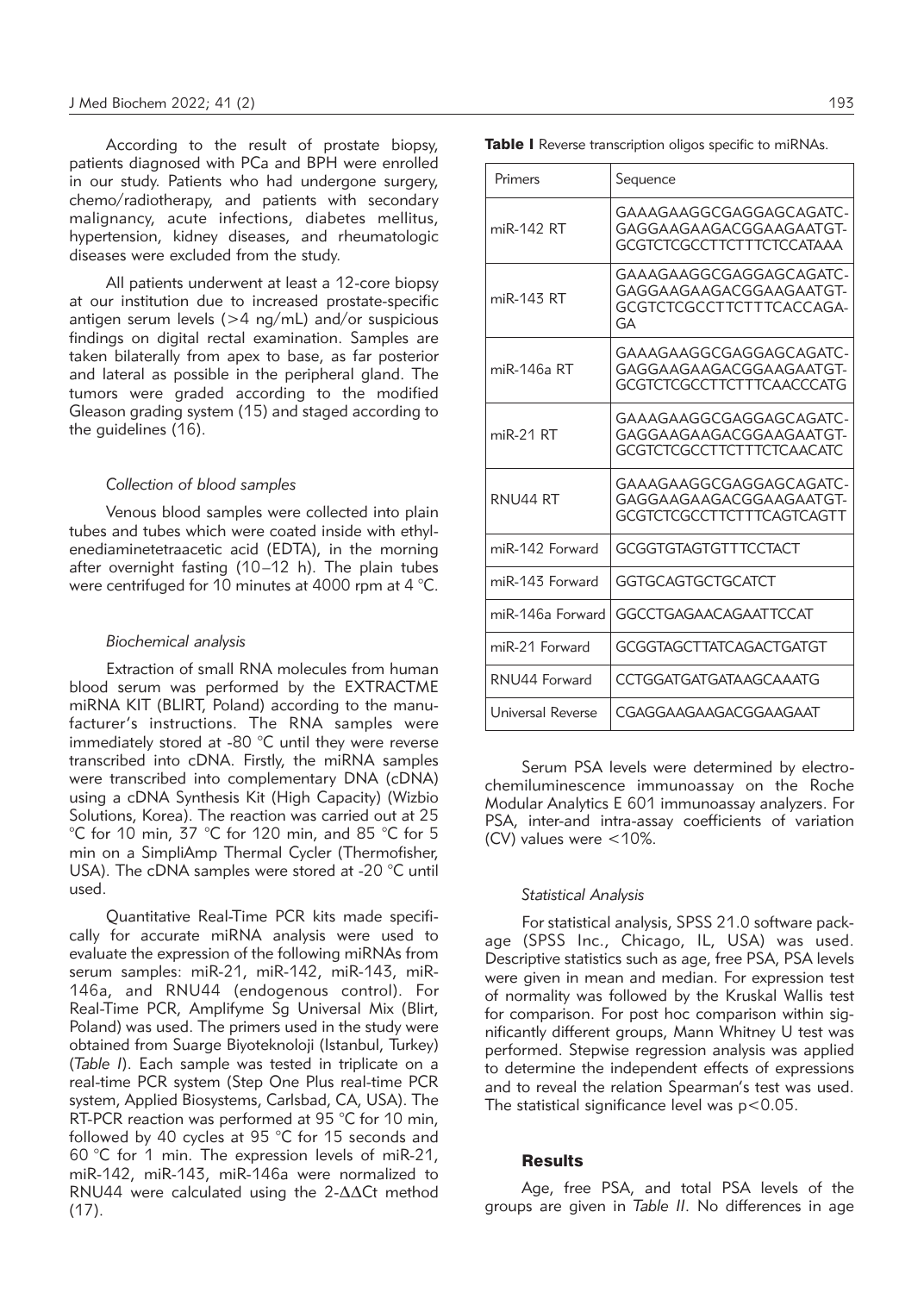According to the result of prostate biopsy, patients diagnosed with PCa and BPH were enrolled in our study. Patients who had undergone surgery, chemo/radiotherapy, and patients with secondary malignancy, acute infections, diabetes mellitus, hypertension, kidney diseases, and rheumatologic diseases were excluded from the study.

All patients underwent at least a 12-core biopsy at our institution due to increased prostate-specific antigen serum levels (>4 ng/mL) and/or suspicious findings on digital rectal examination. Samples are taken bilaterally from apex to base, as far posterior and lateral as possible in the peripheral gland. The tumors were graded according to the modified Gleason grading system (15) and staged according to the guidelines (16).

#### *Collection of blood samples*

Venous blood samples were collected into plain tubes and tubes which were coated inside with ethylenediaminetetraacetic acid (EDTA), in the morning after overnight fasting (10–12 h). The plain tubes were centrifuged for 10 minutes at 4000 rpm at 4 °C.

## *Biochemical analysis*

Extraction of small RNA molecules from human blood serum was performed by the EXTRACTME miRNA KIT (BLIRT, Poland) according to the manufacturer's instructions. The RNA samples were immediately stored at -80 °C until they were reverse transcribed into cDNA. Firstly, the miRNA samples were transcribed into complementary DNA (cDNA) using a cDNA Synthesis Kit (High Capacity) (Wizbio Solutions, Korea). The reaction was carried out at 25 °C for 10 min, 37 °C for 120 min, and 85 °C for 5 min on a SimpliAmp Thermal Cycler (Thermofisher, USA). The cDNA samples were stored at -20 °C until used.

Quantitative Real-Time PCR kits made specifically for accurate miRNA analysis were used to evaluate the expression of the following miRNAs from serum samples: miR-21, miR-142, miR-143, miR-146a, and RNU44 (endogenous control). For Real-Time PCR, Amplifyme Sg Universal Mix (Blirt, Poland) was used. The primers used in the study were obtained from Suarge Biyoteknoloji (Istanbul, Turkey) (*Table I*). Each sample was tested in triplicate on a real-time PCR system (Step One Plus real-time PCR system, Applied Biosystems, Carlsbad, CA, USA). The RT-PCR reaction was performed at 95 °C for 10 min, followed by 40 cycles at 95 °C for 15 seconds and 60 °C for 1 min. The expression levels of miR-21, miR-142, miR-143, miR-146a were normalized to RNU44 were calculated using the 2-ΔΔCt method (17).

Table I Reverse transcription oligos specific to miRNAs.

| Primers           | Sequence                                                                               |
|-------------------|----------------------------------------------------------------------------------------|
| miR-142 RT        | GAAAGAAGGCGAGGAGCAGATC-<br>GAGGAAGAAGACGGAAGAATGT-<br>GCGTCTCGCCTTCTTTCTCCATAAA        |
| miR-143 RT        | GAAAGAAGGCGAGGAGCAGATC-<br>GAGGAAGAAGACGGAAGAATGT-<br>GCGTCTCGCCTTCTTTCACCAGA-<br>GA   |
| miR-146a RT       | GAAAGAAGGCGAGGAGCAGATC-<br>GAGGAAGAAGACGGAAGAATGT-<br>GCGTCTCGCCTTCTTTCAACCCATG        |
| miR-21 RT         | GAAAGAAGGCGAGGAGCAGATC-<br>GAGGAAGAAGACGGAAGAATGT-<br>GCGTCTCGCCTTCTTTCTCAACATC        |
| <b>RNU44 RT</b>   | GAAAGAAGGCGAGGAGCAGATC-<br>GAGGAAGAAGACGGAAGAATGT-<br><b>GCGTCTCGCCTTCTTTCAGTCAGTT</b> |
| miR-142 Forward   | <b>GCGGTGTAGTGTTTCCTACT</b>                                                            |
| miR-143 Forward   | GGTGCAGTGCTGCATCT                                                                      |
| miR-146a Forward  | GGCCTGAGAACAGAATTCCAT                                                                  |
| miR-21 Forward    | <b>GCGGTAGCTTATCAGACTGATGT</b>                                                         |
| RNU44 Forward     | CCTGGATGATGATAAGCAAATG                                                                 |
| Universal Reverse | CGAGGAAGAAGACGGAAGAAT                                                                  |

Serum PSA levels were determined by electrochemiluminescence immunoassay on the Roche Modular Analytics E 601 immunoassay analyzers. For PSA, inter-and intra-assay coefficients of variation (CV) values were <10%.

#### *Statistical Analysis*

For statistical analysis, SPSS 21.0 software package (SPSS Inc., Chicago, IL, USA) was used. Descriptive statistics such as age, free PSA, PSA levels were given in mean and median. For expression test of normality was followed by the Kruskal Wallis test for comparison. For post hoc comparison within significantly different groups, Mann Whitney U test was performed. Stepwise regression analysis was applied to determine the independent effects of expressions and to reveal the relation Spearman's test was used. The statistical significance level was  $p < 0.05$ .

#### **Results**

Age, free PSA, and total PSA levels of the groups are given in *Table II*. No differences in age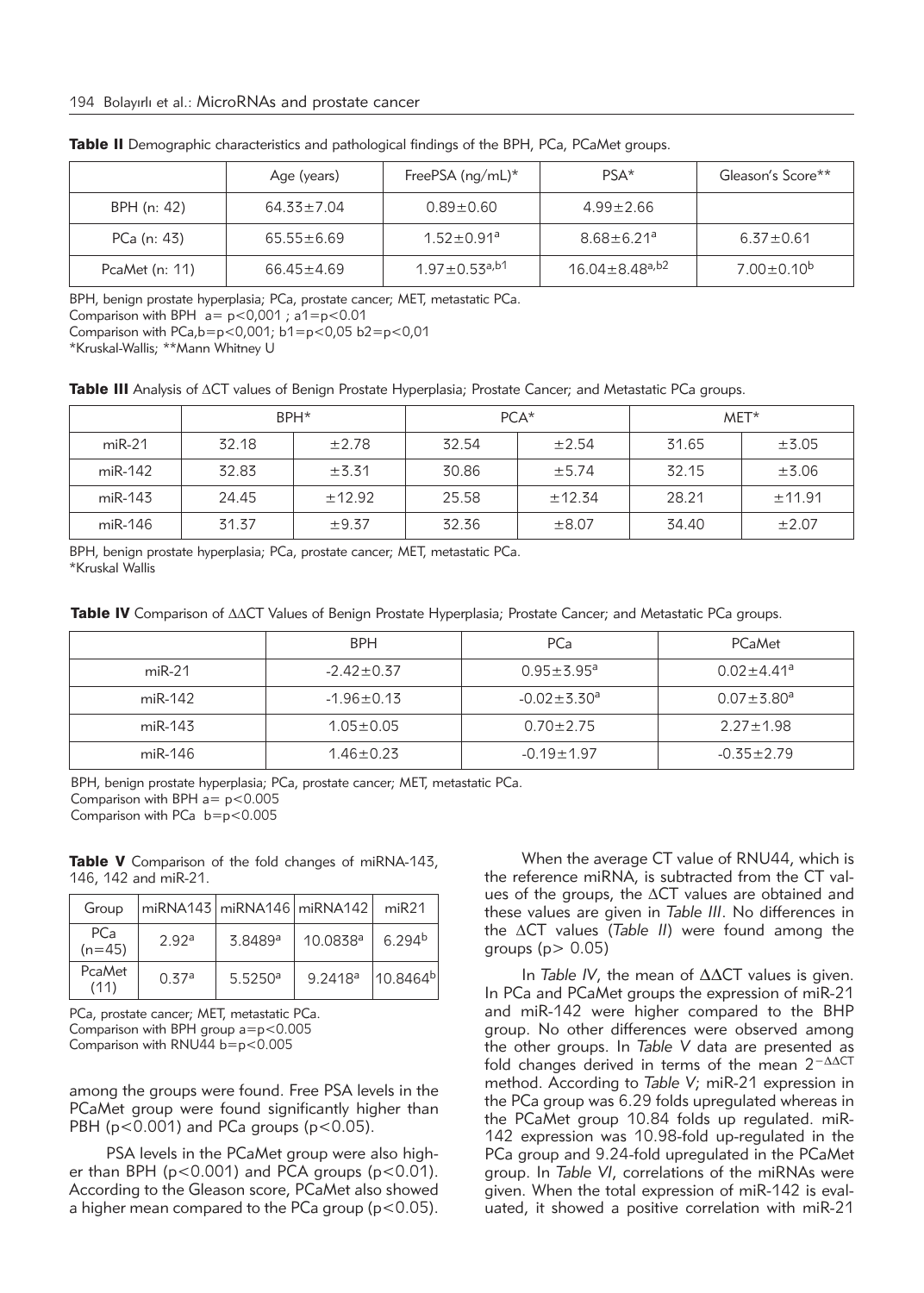|                  | Age (years)      | FreePSA $(ng/mL)^*$             | PSA*                             | Gleason's Score** |
|------------------|------------------|---------------------------------|----------------------------------|-------------------|
| BPH (n: 42)      | $64.33 \pm 7.04$ | $0.89 + 0.60$                   | $4.99 \pm 2.66$                  |                   |
| PCa (n: 43)      | $65.55 \pm 6.69$ | $1.52 \pm 0.91$ <sup>a</sup>    | $8.68 \pm 6.21$ <sup>a</sup>     | $6.37 \pm 0.61$   |
| PcaMet $(n: 11)$ | $66.45 \pm 4.69$ | $1.97 \pm 0.53$ <sup>a,b1</sup> | $16.04 \pm 8.48$ <sup>a,b2</sup> | $7.00 \pm 0.10^b$ |

Table II Demographic characteristics and pathological findings of the BPH, PCa, PCaMet groups.

BPH, benign prostate hyperplasia; PCa, prostate cancer; MET, metastatic PCa.

Comparison with BPH  $a = p < 0.001$ ;  $a1 = p < 0.01$ 

Comparison with  $PCa, b=p<0,001$ ;  $b1=p<0,05$   $b2=p<0,01$ 

\*Kruskal-Wallis; \*\*Mann Whitney U

Table III Analysis of ACT values of Benign Prostate Hyperplasia; Prostate Cancer; and Metastatic PCa groups.

|           | BPH <sup>*</sup> |            | $PCA*$ |            | MET*  |            |
|-----------|------------------|------------|--------|------------|-------|------------|
| $miR-21$  | 32.18            | $\pm 2.78$ | 32.54  | $\pm 2.54$ | 31.65 | $\pm$ 3.05 |
| $miR-142$ | 32.83            | ±3.31      | 30.86  | ±5.74      | 32.15 | $\pm$ 3.06 |
| miR-143   | 24.45            | ±12.92     | 25.58  | ±12.34     | 28.21 | ±11.91     |
| miR-146   | 31.37            | ±9.37      | 32.36  | $\pm 8.07$ | 34.40 | $\pm 2.07$ |

BPH, benign prostate hyperplasia; PCa, prostate cancer; MET, metastatic PCa. \*Kruskal Wallis

| Table IV Comparison of $\Delta\Delta CT$ Values of Benign Prostate Hyperplasia; Prostate Cancer; and Metastatic PCa groups. |  |  |  |
|-----------------------------------------------------------------------------------------------------------------------------|--|--|--|
|-----------------------------------------------------------------------------------------------------------------------------|--|--|--|

|          | <b>BPH</b>       | PCa                           | PCaMet                       |
|----------|------------------|-------------------------------|------------------------------|
| $miR-21$ | $-2.42 \pm 0.37$ | $0.95 + 5.95^a$               | $0.02 \pm 4.41$ <sup>a</sup> |
| miR-142  | $-1.96 \pm 0.13$ | $-0.02 \pm 3.30$ <sup>a</sup> | $0.07 + 3.80$ <sup>a</sup>   |
| miR-143  | $1.05 \pm 0.05$  | $0.70 \pm 2.75$               | $2.27 \pm 1.98$              |
| miR-146  | $1.46 \pm 0.23$  | $-0.19 \pm 1.97$              | $-0.35 \pm 2.79$             |

BPH, benign prostate hyperplasia; PCa, prostate cancer; MET, metastatic PCa. Comparison with BPH  $a = p < 0.005$ 

Comparison with PCa b=p<0.005

Table V Comparison of the fold changes of miRNA-143, 146, 142 and miR-21.

| Group                  |                   | miRNA143 miRNA146 miRNA142 |                      | miR21              |
|------------------------|-------------------|----------------------------|----------------------|--------------------|
| <b>PCa</b><br>$(n=45)$ | 2.92 <sup>a</sup> | 3.8489a                    | 10.0838 <sup>a</sup> | 6.294 <sup>b</sup> |
| PcaMet<br>(11)         | 0.37a             | 5.5250a                    | 9.2418 <sup>a</sup>  | $10.8464^{b}$      |

PCa, prostate cancer; MET, metastatic PCa. Comparison with BPH group a=p<0.005 Comparison with RNU44  $b=p<0.005$ 

among the groups were found. Free PSA levels in the PCaMet group were found significantly higher than PBH ( $p < 0.001$ ) and PCa groups ( $p < 0.05$ ).

PSA levels in the PCaMet group were also higher than BPH ( $p < 0.001$ ) and PCA groups ( $p < 0.01$ ). According to the Gleason score, PCaMet also showed a higher mean compared to the PCa group ( $p < 0.05$ ).

When the average CT value of RNU44, which is the reference miRNA, is subtracted from the CT values of the groups, the  $\Delta CT$  values are obtained and these values are given in *Table III*. No differences in the DCT values (*Table II*) were found among the groups ( $p > 0.05$ )

In *Table IV*, the mean of ΔΔCT values is given. In PCa and PCaMet groups the expression of miR-21 and miR-142 were higher compared to the BHP group. No other differences were observed among the other groups. In *Table V* data are presented as fold changes derived in terms of the mean 2<sup>−</sup>ΔΔCT method. According to *Table V*; miR-21 expression in the PCa group was 6.29 folds upregulated whereas in the PCaMet group 10.84 folds up regulated. miR-142 expression was 10.98-fold up-regulated in the PCa group and 9.24-fold upregulated in the PCaMet group. In *Table VI*, correlations of the miRNAs were given. When the total expression of miR-142 is evaluated, it showed a positive correlation with miR-21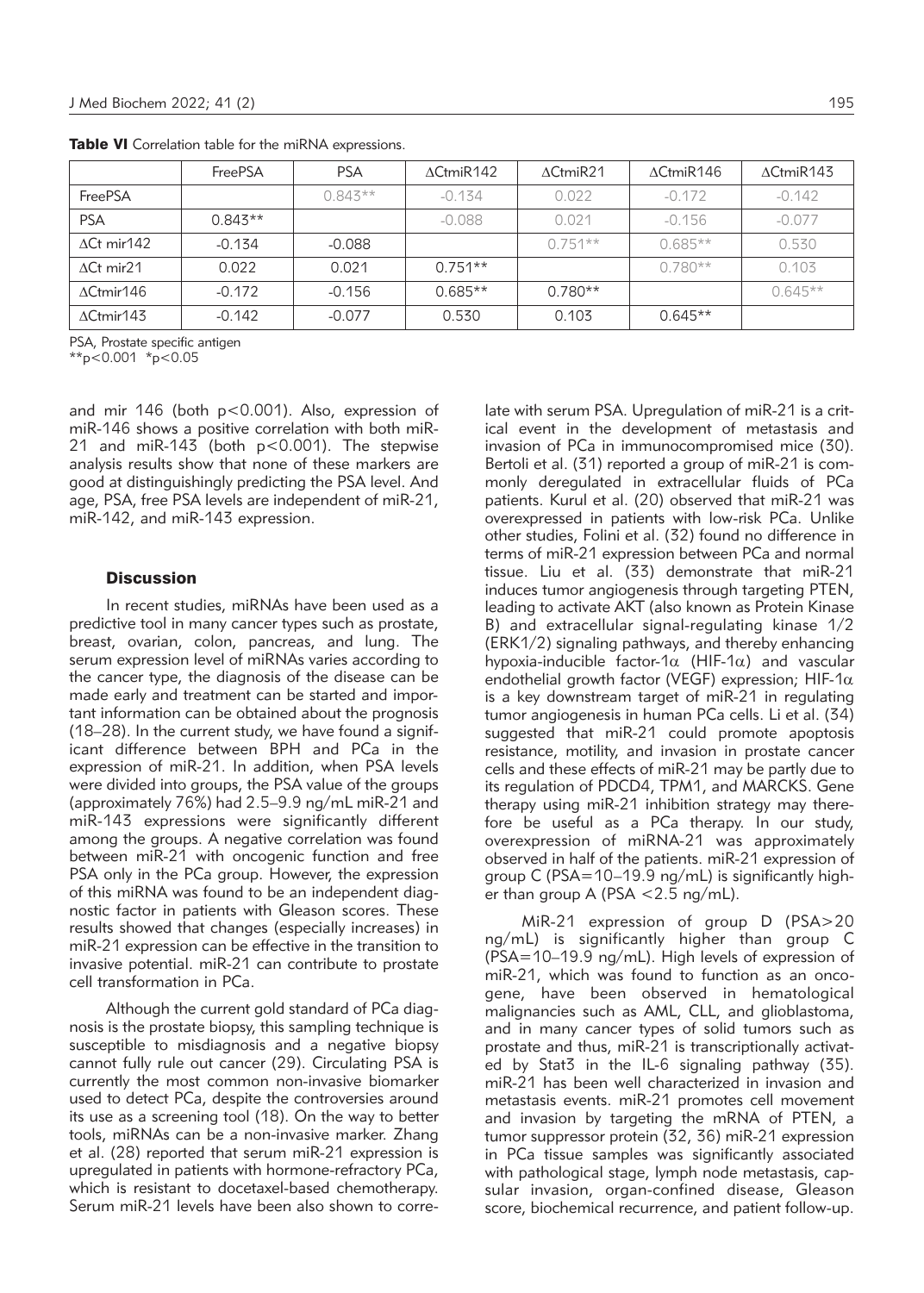|                          | FreePSA   | <b>PSA</b> | $\Lambda$ CtmiR142 | $\Delta$ CtmiR21 | $\Lambda$ CtmiR146 | $\Delta$ CtmiR143 |
|--------------------------|-----------|------------|--------------------|------------------|--------------------|-------------------|
| FreePSA                  |           | $0.843**$  | $-0.134$           | 0.022            | $-0.172$           | $-0.142$          |
| <b>PSA</b>               | $0.843**$ |            | $-0.088$           | 0.021            | $-0.156$           | $-0.077$          |
| $\triangle$ Ct mir $142$ | $-0.134$  | $-0.088$   |                    | $0.751**$        | $0.685**$          | 0.530             |
| $\triangle$ Ct mir $21$  | 0.022     | 0.021      | $0.751**$          |                  | $0.780**$          | 0.103             |
| $\Delta$ Ctmir146        | $-0.172$  | $-0.156$   | $0.685**$          | $0.780**$        |                    | $0.645**$         |
| $\Delta$ Ctmir143        | $-0.142$  | $-0.077$   | 0.530              | 0.103            | $0.645**$          |                   |

Table VI Correlation table for the miRNA expressions.

PSA, Prostate specific antigen

\*\*p<0.001 \*p<0.05

and mir 146 (both p<0.001). Also, expression of miR-146 shows a positive correlation with both miR-21 and miR-143 (both p<0.001). The stepwise analysis results show that none of these markers are good at distinguishingly predicting the PSA level. And age, PSA, free PSA levels are independent of miR-21, miR-142, and miR-143 expression.

# **Discussion**

In recent studies, miRNAs have been used as a predictive tool in many cancer types such as prostate, breast, ovarian, colon, pancreas, and lung. The serum expression level of miRNAs varies according to the cancer type, the diagnosis of the disease can be made early and treatment can be started and important information can be obtained about the prognosis (18–28). In the current study, we have found a significant difference between BPH and PCa in the expression of miR-21. In addition, when PSA levels were divided into groups, the PSA value of the groups (approximately 76%) had 2.5–9.9 ng/mL miR-21 and miR-143 expressions were significantly different among the groups. A negative correlation was found between miR-21 with oncogenic function and free PSA only in the PCa group. However, the expression of this miRNA was found to be an independent diagnostic factor in patients with Gleason scores. These results showed that changes (especially increases) in miR-21 expression can be effective in the transition to invasive potential. miR-21 can contribute to prostate cell transformation in PCa.

Although the current gold standard of PCa diagnosis is the prostate biopsy, this sampling technique is susceptible to misdiagnosis and a negative biopsy cannot fully rule out cancer (29). Circulating PSA is currently the most common non-invasive biomarker used to detect PCa, despite the controversies around its use as a screening tool (18). On the way to better tools, miRNAs can be a non-invasive marker. Zhang et al. (28) reported that serum miR-21 expression is upregulated in patients with hormone-refractory PCa, which is resistant to docetaxel-based chemotherapy. Serum miR-21 levels have been also shown to correlate with serum PSA. Upregulation of miR-21 is a critical event in the development of metastasis and invasion of PCa in immunocompromised mice (30). Bertoli et al. (31) reported a group of miR-21 is commonly deregulated in extracellular fluids of PCa patients. Kurul et al. (20) observed that miR-21 was overexpressed in patients with low-risk PCa. Unlike other studies, Folini et al. (32) found no difference in terms of miR-21 expression between PCa and normal tissue. Liu et al. (33) demonstrate that miR-21 induces tumor angiogenesis through targeting PTEN, leading to activate AKT (also known as Protein Kinase B) and extracellular signal-regulating kinase 1/2 (ERK1/2) signaling pathways, and thereby enhancing hypoxia-inducible factor-1 $\alpha$  (HIF-1 $\alpha$ ) and vascular endo thelial growth factor (VEGF) expression; HIF-1 $\alpha$ is a key downstream target of miR-21 in regulating tumor angiogenesis in human PCa cells. Li et al. (34) suggested that miR-21 could promote apoptosis resistance, motility, and invasion in prostate cancer cells and these effects of miR-21 may be partly due to its regulation of PDCD4, TPM1, and MARCKS. Gene therapy using miR-21 inhibition strategy may therefore be useful as a PCa therapy. In our study, overexpression of miRNA-21 was approximately observed in half of the patients. miR-21 expression of group C (PSA=10–19.9 ng/mL) is significantly higher than group A (PSA  $< 2.5$  ng/mL).

MiR-21 expression of group D (PSA>20 ng/mL) is significantly higher than group C (PSA=10–19.9 ng/mL). High levels of expression of miR-21, which was found to function as an oncogene, have been observed in hematological malignancies such as AML, CLL, and glioblastoma, and in many cancer types of solid tumors such as prostate and thus, miR-21 is transcriptionally activated by Stat3 in the IL-6 signaling pathway (35). miR-21 has been well characterized in invasion and metastasis events. miR-21 promotes cell movement and invasion by targeting the mRNA of PTEN, a tumor suppressor protein (32, 36) miR-21 expression in PCa tissue samples was significantly associated with pathological stage, lymph node metastasis, capsular invasion, organ-confined disease, Gleason score, biochemical recurrence, and patient follow-up.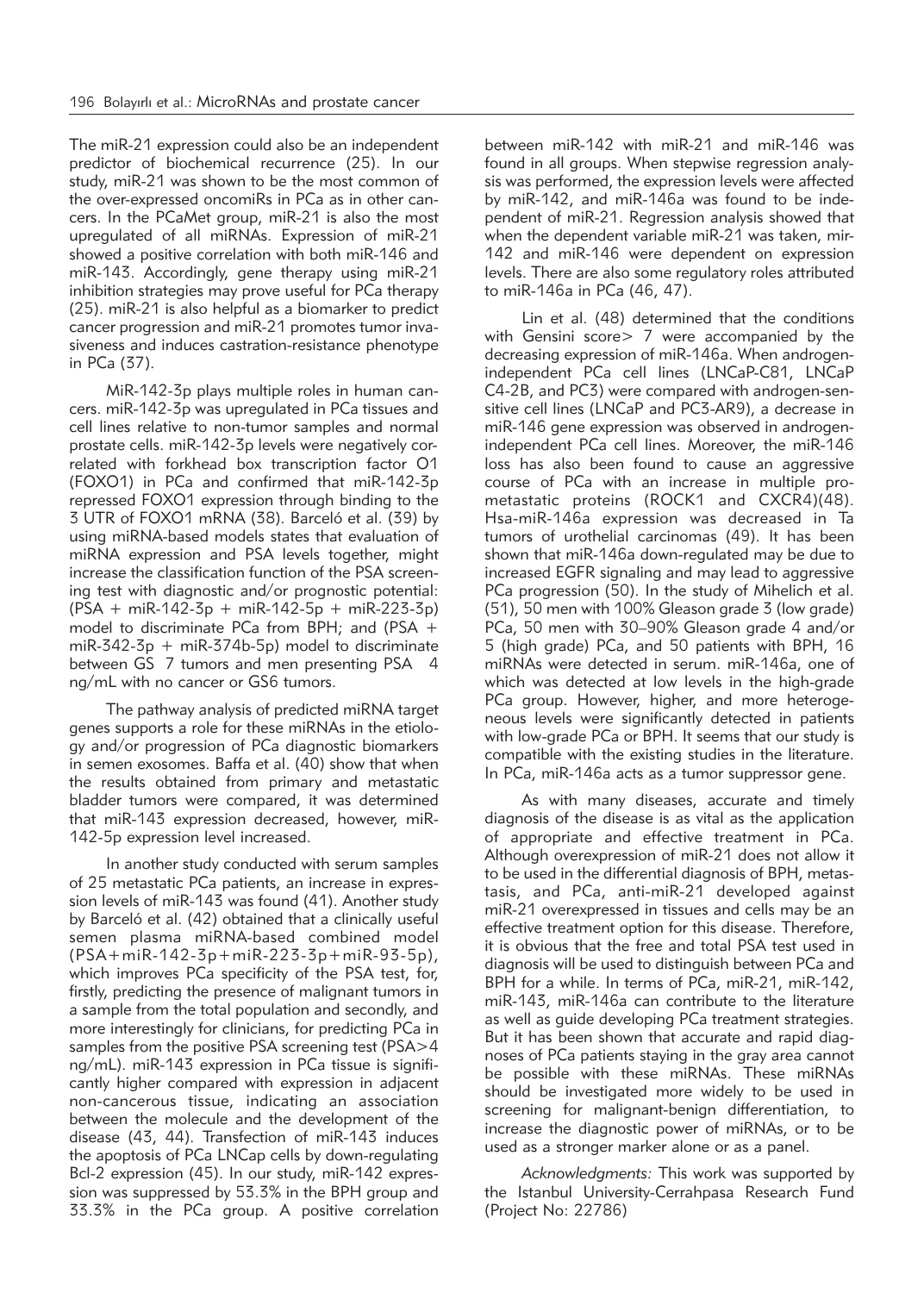The miR-21 expression could also be an independent predictor of biochemical recurrence (25). In our study, miR-21 was shown to be the most common of the over-expressed oncomiRs in PCa as in other cancers. In the PCaMet group, miR-21 is also the most upregulated of all miRNAs. Expression of miR-21 showed a positive correlation with both miR-146 and miR-143. Accordingly, gene therapy using miR-21 inhibition strategies may prove useful for PCa therapy (25). miR-21 is also helpful as a biomarker to predict cancer progression and miR-21 promotes tumor invasiveness and induces castration-resistance phenotype in PCa (37).

MiR-142-3p plays multiple roles in human cancers. miR-142-3p was upregulated in PCa tissues and cell lines relative to non-tumor samples and normal prostate cells. miR-142-3p levels were negatively correlated with forkhead box transcription factor O1 (FOXO1) in PCa and confirmed that miR-142-3p repressed FOXO1 expression through binding to the 3 UTR of FOXO1 mRNA (38). Barceló et al. (39) by using miRNA-based models states that evaluation of miRNA expression and PSA levels together, might increase the classification function of the PSA screening test with diagnostic and/or prognostic potential:  $(PSA + miR-142-3p + miR-142-5p + miR-223-3p)$ model to discriminate PCa from BPH; and (PSA + miR-342-3 $p + m$ iR-374b-5 $p$ ) model to discriminate between GS 7 tumors and men presenting PSA 4 ng/mL with no cancer or GS6 tumors.

The pathway analysis of predicted miRNA target genes supports a role for these miRNAs in the etiology and/or progression of PCa diagnostic biomarkers in semen exosomes. Baffa et al. (40) show that when the results obtained from primary and metastatic bladder tumors were compared, it was determined that miR-143 expression decreased, however, miR-142-5p expression level increased.

In another study conducted with serum samples of 25 metastatic PCa patients, an increase in expression levels of miR-143 was found (41). Another study by Barceló et al. (42) obtained that a clinically useful semen plasma miRNA-based combined model (PSA+miR-142-3p+miR-223-3p+miR-93-5p), which improves PCa specificity of the PSA test, for, firstly, predicting the presence of malignant tumors in a sample from the total population and secondly, and more interestingly for clinicians, for predicting PCa in samples from the positive PSA screening test (PSA>4 ng/mL). miR-143 expression in PCa tissue is significantly higher compared with expression in adjacent non-cancerous tissue, indicating an association between the molecule and the development of the disease (43, 44). Transfection of miR-143 induces the apoptosis of PCa LNCap cells by down-regulating Bcl-2 expression (45). In our study, miR-142 expression was suppressed by 53.3% in the BPH group and 33.3% in the PCa group. A positive correlation

between miR-142 with miR-21 and miR-146 was found in all groups. When stepwise regression analysis was performed, the expression levels were affected by miR-142, and miR-146a was found to be independent of miR-21. Regression analysis showed that when the dependent variable miR-21 was taken, mir-142 and miR-146 were dependent on expression levels. There are also some regulatory roles attributed to miR-146a in PCa (46, 47).

Lin et al. (48) determined that the conditions with Gensini score> 7 were accompanied by the decreasing expression of miR-146a. When androgenindependent PCa cell lines (LNCaP-C81, LNCaP C4-2B, and PC3) were compared with androgen-sensitive cell lines (LNCaP and PC3-AR9), a decrease in miR-146 gene expression was observed in androgenindependent PCa cell lines. Moreover, the miR-146 loss has also been found to cause an aggressive course of PCa with an increase in multiple prometastatic proteins (ROCK1 and CXCR4)(48). Hsa-miR-146a expression was decreased in Ta tumors of urothelial carcinomas (49). It has been shown that miR-146a down-regulated may be due to increased EGFR signaling and may lead to aggressive PCa progression (50). In the study of Mihelich et al. (51), 50 men with 100% Gleason grade 3 (low grade) PCa, 50 men with 30–90% Gleason grade 4 and/or 5 (high grade) PCa, and 50 patients with BPH, 16 miRNAs were detected in serum. miR-146a, one of which was detected at low levels in the high-grade PCa group. However, higher, and more heterogeneous levels were significantly detected in patients with low-grade PCa or BPH. It seems that our study is compatible with the existing studies in the literature. In PCa, miR-146a acts as a tumor suppressor gene.

As with many diseases, accurate and timely diagnosis of the disease is as vital as the application of appropriate and effective treatment in PCa. Although overexpression of miR-21 does not allow it to be used in the differential diagnosis of BPH, metastasis, and PCa, anti-miR-21 developed against miR-21 overexpressed in tissues and cells may be an effective treatment option for this disease. Therefore, it is obvious that the free and total PSA test used in diagnosis will be used to distinguish between PCa and BPH for a while. In terms of PCa, miR-21, miR-142, miR-143, miR-146a can contribute to the literature as well as guide developing PCa treatment strategies. But it has been shown that accurate and rapid diagnoses of PCa patients staying in the gray area cannot be possible with these miRNAs. These miRNAs should be investigated more widely to be used in screening for malignant-benign differentiation, to increase the diagnostic power of miRNAs, or to be used as a stronger marker alone or as a panel.

*Acknowledgments:* This work was supported by the Istanbul University-Cerrahpasa Research Fund (Project No: 22786)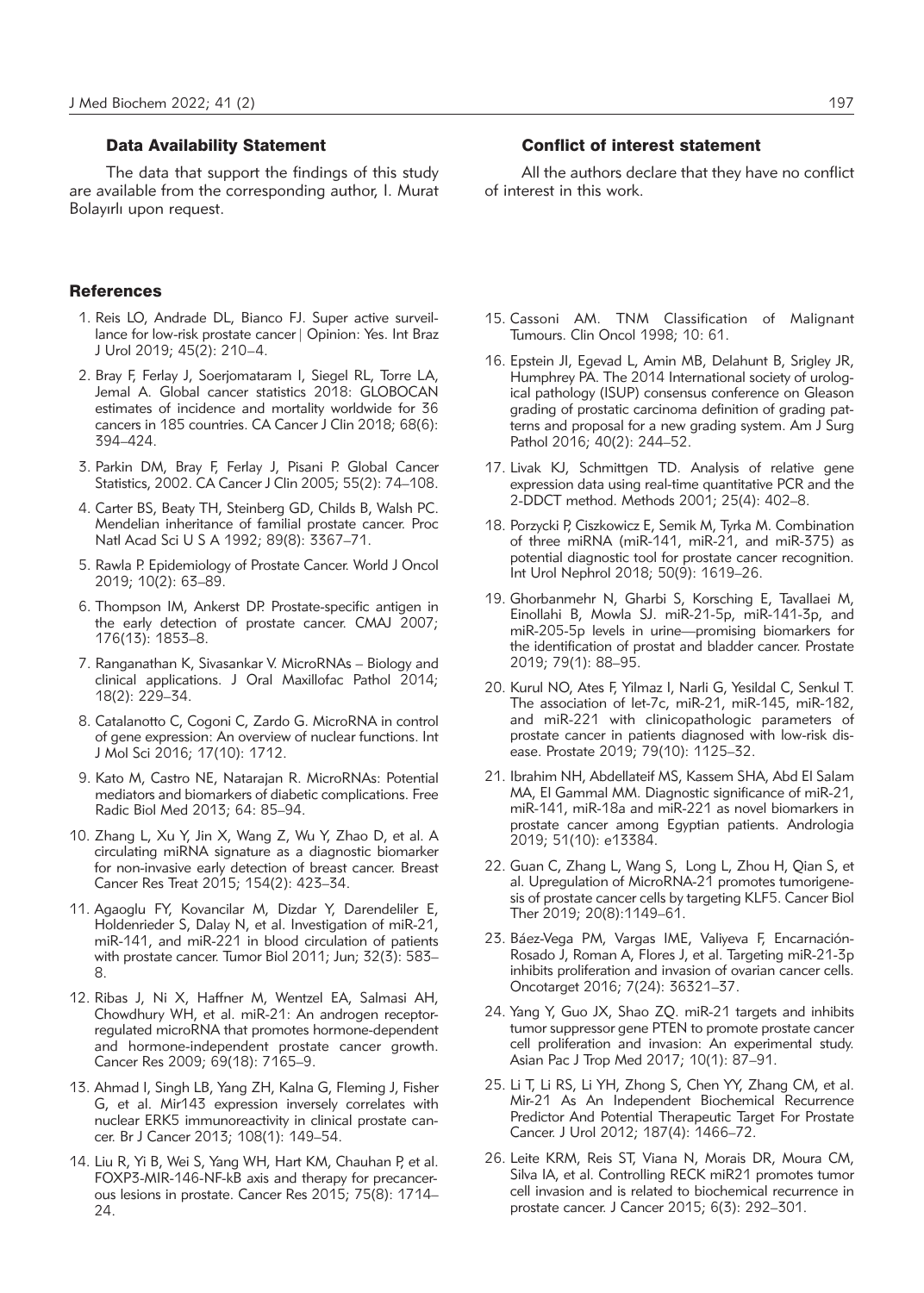## Data Availability Statement

The data that support the findings of this study are available from the corresponding author, I. Murat Bolayırlı upon request.

## **References**

- 1. Reis LO, Andrade DL, Bianco FJ. Super active surveillance for low-risk prostate cancer | Opinion: Yes. Int Braz J Urol 2019; 45(2): 210–4.
- 2. Bray F, Ferlay J, Soerjomataram I, Siegel RL, Torre LA, Jemal A. Global cancer statistics 2018: GLOBOCAN estimates of incidence and mortality worldwide for 36 cancers in 185 countries. CA Cancer J Clin 2018; 68(6): 394–424.
- 3. Parkin DM, Bray F, Ferlay J, Pisani P. Global Cancer Statistics, 2002. CA Cancer J Clin 2005; 55(2): 74–108.
- 4. Carter BS, Beaty TH, Steinberg GD, Childs B, Walsh PC. Mendelian inheritance of familial prostate cancer. Proc Natl Acad Sci U S A 1992; 89(8): 3367–71.
- 5. Rawla P. Epidemiology of Prostate Cancer. World J Oncol 2019; 10(2): 63–89.
- 6. Thompson IM, Ankerst DP. Prostate-specific antigen in the early detection of prostate cancer. CMAJ 2007; 176(13): 1853–8.
- 7. Ranganathan K, Sivasankar V. MicroRNAs Biology and clinical applications. J Oral Maxillofac Pathol 2014; 18(2): 229–34.
- 8. Catalanotto C, Cogoni C, Zardo G. MicroRNA in control of gene expression: An overview of nuclear functions. Int J Mol Sci 2016; 17(10): 1712.
- 9. Kato M, Castro NE, Natarajan R. MicroRNAs: Potential mediators and biomarkers of diabetic complications. Free Radic Biol Med 2013; 64: 85–94.
- 10. Zhang L, Xu Y, Jin X, Wang Z, Wu Y, Zhao D, et al. A circulating miRNA signature as a diagnostic biomarker for non-invasive early detection of breast cancer. Breast Cancer Res Treat 2015; 154(2): 423–34.
- 11. Agaoglu FY, Kovancilar M, Dizdar Y, Darendeliler E, Holdenrieder S, Dalay N, et al. Investigation of miR-21, miR-141, and miR-221 in blood circulation of patients with prostate cancer. Tumor Biol 2011; Jun; 32(3): 583– 8.
- 12. Ribas J, Ni X, Haffner M, Wentzel EA, Salmasi AH, Chowdhury WH, et al. miR-21: An androgen receptorregulated microRNA that promotes hormone-dependent and hormone-independent prostate cancer growth. Cancer Res 2009; 69(18): 7165–9.
- 13. Ahmad I, Singh LB, Yang ZH, Kalna G, Fleming J, Fisher G, et al. Mir143 expression inversely correlates with nuclear ERK5 immunoreactivity in clinical prostate cancer. Br J Cancer 2013; 108(1): 149–54.
- 14. Liu R, Yi B, Wei S, Yang WH, Hart KM, Chauhan P, et al. FOXP3-MIR-146-NF-kB axis and therapy for precancerous lesions in prostate. Cancer Res 2015; 75(8): 1714– 24.

## Conflict of interest statement

All the authors declare that they have no conflict of interest in this work.

- 15. Cassoni AM. TNM Classification of Malignant Tumours. Clin Oncol 1998; 10: 61.
- 16. Epstein JI, Egevad L, Amin MB, Delahunt B, Srigley JR, Humphrey PA. The 2014 International society of urological pathology (ISUP) consensus conference on Gleason grading of prostatic carcinoma definition of grading patterns and proposal for a new grading system. Am J Surg Pathol 2016; 40(2): 244–52.
- 17. Livak KJ, Schmittgen TD. Analysis of relative gene expression data using real-time quantitative PCR and the 2-DDCT method. Methods 2001; 25(4): 402–8.
- 18. Porzycki P, Ciszkowicz E, Semik M, Tyrka M. Combination of three miRNA (miR-141, miR-21, and miR-375) as potential diagnostic tool for prostate cancer recognition. Int Urol Nephrol 2018; 50(9): 1619–26.
- 19. Ghorbanmehr N, Gharbi S, Korsching E, Tavallaei M, Einollahi B, Mowla SJ. miR-21-5p, miR-141-3p, and miR-205-5p levels in urine—promising biomarkers for the identification of prostat and bladder cancer. Prostate 2019; 79(1): 88–95.
- 20. Kurul NO, Ates F, Yilmaz I, Narli G, Yesildal C, Senkul T. The association of let-7c, miR-21, miR-145, miR-182, and miR-221 with clinicopathologic parameters of prostate cancer in patients diagnosed with low-risk disease. Prostate 2019; 79(10): 1125–32.
- 21. Ibrahim NH, Abdellateif MS, Kassem SHA, Abd El Salam MA, El Gammal MM. Diagnostic significance of miR-21, miR-141, miR-18a and miR-221 as novel biomarkers in prostate cancer among Egyptian patients. Andrologia 2019; 51(10): e13384.
- 22. Guan C, Zhang L, Wang S, Long L, Zhou H, Qian S, et al. Upregulation of MicroRNA-21 promotes tumorigenesis of prostate cancer cells by targeting KLF5. Cancer Biol Ther 2019; 20(8):1149–61.
- 23. Báez-Vega PM, Vargas IME, Valiyeva F, Encarnación-Rosado J, Roman A, Flores J, et al. Targeting miR-21-3p inhibits proliferation and invasion of ovarian cancer cells. Oncotarget 2016; 7(24): 36321–37.
- 24. Yang Y, Guo JX, Shao ZQ. miR-21 targets and inhibits tumor suppressor gene PTEN to promote prostate cancer cell proliferation and invasion: An experimental study. Asian Pac J Trop Med 2017; 10(1): 87–91.
- 25. Li T, Li RS, Li YH, Zhong S, Chen YY, Zhang CM, et al. Mir-21 As An Independent Biochemical Recurrence Predictor And Potential Therapeutic Target For Prostate Cancer. J Urol 2012; 187(4): 1466–72.
- 26. Leite KRM, Reis ST, Viana N, Morais DR, Moura CM, Silva IA, et al. Controlling RECK miR21 promotes tumor cell invasion and is related to biochemical recurrence in prostate cancer. J Cancer 2015; 6(3): 292–301.